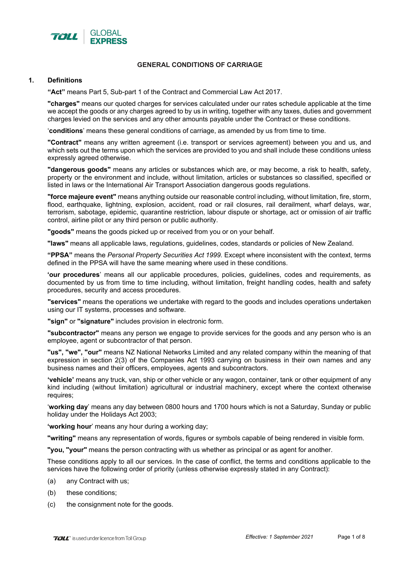

## **GENERAL CONDITIONS OF CARRIAGE**

### **1. Definitions**

**"Act"** means Part 5, Sub-part 1 of the Contract and Commercial Law Act 2017.

**"charges"** means our quoted charges for services calculated under our rates schedule applicable at the time we accept the goods or any charges agreed to by us in writing, together with any taxes, duties and government charges levied on the services and any other amounts payable under the Contract or these conditions.

'**conditions**' means these general conditions of carriage, as amended by us from time to time.

**"Contract"** means any written agreement (i.e. transport or services agreement) between you and us, and which sets out the terms upon which the services are provided to you and shall include these conditions unless expressly agreed otherwise.

**"dangerous goods"** means any articles or substances which are, or may become, a risk to health, safety, property or the environment and include, without limitation, articles or substances so classified, specified or listed in laws or the International Air Transport Association dangerous goods regulations.

**"force majeure event"** means anything outside our reasonable control including, without limitation, fire, storm, flood, earthquake, lightning, explosion, accident, road or rail closures, rail derailment, wharf delays, war, terrorism, sabotage, epidemic, quarantine restriction, labour dispute or shortage, act or omission of air traffic control, airline pilot or any third person or public authority.

**"goods"** means the goods picked up or received from you or on your behalf.

**"laws"** means all applicable laws, regulations, guidelines, codes, standards or policies of New Zealand.

**"PPSA"** means the *Personal Property Securities Act 1999.* Except where inconsistent with the context, terms defined in the PPSA will have the same meaning where used in these conditions.

**'our procedures**' means all our applicable procedures, policies, guidelines, codes and requirements, as documented by us from time to time including, without limitation, freight handling codes, health and safety procedures, security and access procedures.

**"services"** means the operations we undertake with regard to the goods and includes operations undertaken using our IT systems, processes and software.

**"sign"** or **"signature"** includes provision in electronic form.

**"subcontractor"** means any person we engage to provide services for the goods and any person who is an employee, agent or subcontractor of that person.

**"us", "we", "our"** means NZ National Networks Limited and any related company within the meaning of that expression in section 2(3) of the Companies Act 1993 carrying on business in their own names and any business names and their officers, employees, agents and subcontractors.

**'vehicle'** means any truck, van, ship or other vehicle or any wagon, container, tank or other equipment of any kind including (without limitation) agricultural or industrial machinery, except where the context otherwise requires;

'**working day**' means any day between 0800 hours and 1700 hours which is not a Saturday, Sunday or public holiday under the Holidays Act 2003;

**'working hour**' means any hour during a working day;

**"writing"** means any representation of words, figures or symbols capable of being rendered in visible form.

**"you, "your"** means the person contracting with us whether as principal or as agent for another.

These conditions apply to all our services. In the case of conflict, the terms and conditions applicable to the services have the following order of priority (unless otherwise expressly stated in any Contract):

- (a) any Contract with us;
- (b) these conditions;
- (c) the consignment note for the goods.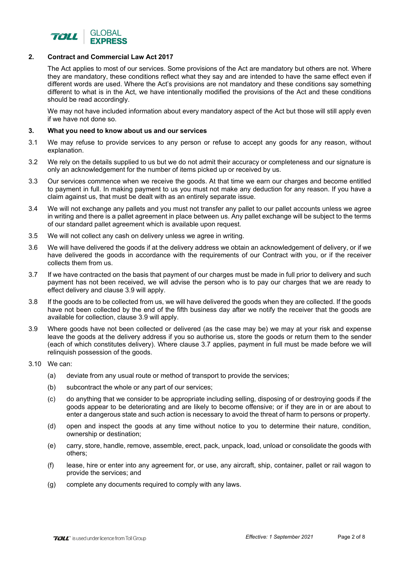

# **2. Contract and Commercial Law Act 2017**

The Act applies to most of our services. Some provisions of the Act are mandatory but others are not. Where they are mandatory, these conditions reflect what they say and are intended to have the same effect even if different words are used. Where the Act's provisions are not mandatory and these conditions say something different to what is in the Act, we have intentionally modified the provisions of the Act and these conditions should be read accordingly.

We may not have included information about every mandatory aspect of the Act but those will still apply even if we have not done so.

## **3. What you need to know about us and our services**

- 3.1 We may refuse to provide services to any person or refuse to accept any goods for any reason, without explanation.
- 3.2 We rely on the details supplied to us but we do not admit their accuracy or completeness and our signature is only an acknowledgement for the number of items picked up or received by us.
- 3.3 Our services commence when we receive the goods. At that time we earn our charges and become entitled to payment in full. In making payment to us you must not make any deduction for any reason. If you have a claim against us, that must be dealt with as an entirely separate issue.
- 3.4 We will not exchange any pallets and you must not transfer any pallet to our pallet accounts unless we agree in writing and there is a pallet agreement in place between us. Any pallet exchange will be subject to the terms of our standard pallet agreement which is available upon request.
- 3.5 We will not collect any cash on delivery unless we agree in writing.
- 3.6 We will have delivered the goods if at the delivery address we obtain an acknowledgement of delivery, or if we have delivered the goods in accordance with the requirements of our Contract with you, or if the receiver collects them from us.
- 3.7 If we have contracted on the basis that payment of our charges must be made in full prior to delivery and such payment has not been received, we will advise the person who is to pay our charges that we are ready to effect delivery and clause 3.9 will apply.
- 3.8 If the goods are to be collected from us, we will have delivered the goods when they are collected. If the goods have not been collected by the end of the fifth business day after we notify the receiver that the goods are available for collection, clause 3.9 will apply.
- 3.9 Where goods have not been collected or delivered (as the case may be) we may at your risk and expense leave the goods at the delivery address if you so authorise us, store the goods or return them to the sender (each of which constitutes delivery). Where clause 3.7 applies, payment in full must be made before we will relinquish possession of the goods.
- 3.10 We can:
	- (a) deviate from any usual route or method of transport to provide the services;
	- (b) subcontract the whole or any part of our services;
	- (c) do anything that we consider to be appropriate including selling, disposing of or destroying goods if the goods appear to be deteriorating and are likely to become offensive; or if they are in or are about to enter a dangerous state and such action is necessary to avoid the threat of harm to persons or property.
	- (d) open and inspect the goods at any time without notice to you to determine their nature, condition, ownership or destination;
	- (e) carry, store, handle, remove, assemble, erect, pack, unpack, load, unload or consolidate the goods with others;
	- (f) lease, hire or enter into any agreement for, or use, any aircraft, ship, container, pallet or rail wagon to provide the services; and
	- (g) complete any documents required to comply with any laws.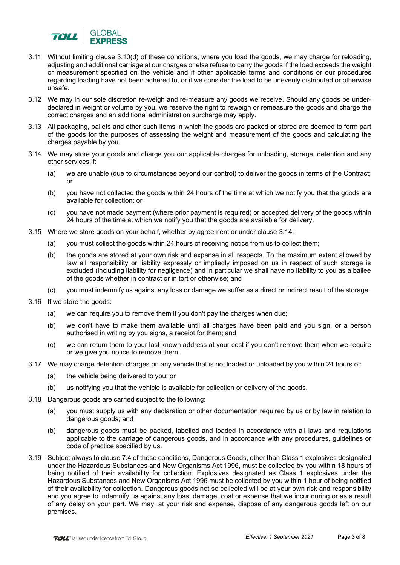

- 3.11 Without limiting clause 3.10(d) of these conditions, where you load the goods, we may charge for reloading, adjusting and additional carriage at our charges or else refuse to carry the goods if the load exceeds the weight or measurement specified on the vehicle and if other applicable terms and conditions or our procedures regarding loading have not been adhered to, or if we consider the load to be unevenly distributed or otherwise unsafe.
- 3.12 We may in our sole discretion re-weigh and re-measure any goods we receive. Should any goods be underdeclared in weight or volume by you, we reserve the right to reweigh or remeasure the goods and charge the correct charges and an additional administration surcharge may apply.
- 3.13 All packaging, pallets and other such items in which the goods are packed or stored are deemed to form part of the goods for the purposes of assessing the weight and measurement of the goods and calculating the charges payable by you.
- 3.14 We may store your goods and charge you our applicable charges for unloading, storage, detention and any other services if:
	- (a) we are unable (due to circumstances beyond our control) to deliver the goods in terms of the Contract; or
	- (b) you have not collected the goods within 24 hours of the time at which we notify you that the goods are available for collection; or
	- (c) you have not made payment (where prior payment is required) or accepted delivery of the goods within 24 hours of the time at which we notify you that the goods are available for delivery.
- 3.15 Where we store goods on your behalf, whether by agreement or under clause 3.14:
	- (a) you must collect the goods within 24 hours of receiving notice from us to collect them;
	- (b) the goods are stored at your own risk and expense in all respects. To the maximum extent allowed by law all responsibility or liability expressly or impliedly imposed on us in respect of such storage is excluded (including liability for negligence) and in particular we shall have no liability to you as a bailee of the goods whether in contract or in tort or otherwise; and
	- (c) you must indemnify us against any loss or damage we suffer as a direct or indirect result of the storage.
- 3.16 If we store the goods:
	- (a) we can require you to remove them if you don't pay the charges when due;
	- (b) we don't have to make them available until all charges have been paid and you sign, or a person authorised in writing by you signs, a receipt for them; and
	- (c) we can return them to your last known address at your cost if you don't remove them when we require or we give you notice to remove them.
- 3.17 We may charge detention charges on any vehicle that is not loaded or unloaded by you within 24 hours of:
	- (a) the vehicle being delivered to you; or
	- (b) us notifying you that the vehicle is available for collection or delivery of the goods.
- 3.18 Dangerous goods are carried subject to the following:
	- (a) you must supply us with any declaration or other documentation required by us or by law in relation to dangerous goods; and
	- (b) dangerous goods must be packed, labelled and loaded in accordance with all laws and regulations applicable to the carriage of dangerous goods, and in accordance with any procedures, guidelines or code of practice specified by us.
- 3.19 Subject always to clause 7.4 of these conditions, Dangerous Goods, other than Class 1 explosives designated under the Hazardous Substances and New Organisms Act 1996, must be collected by you within 18 hours of being notified of their availability for collection. Explosives designated as Class 1 explosives under the Hazardous Substances and New Organisms Act 1996 must be collected by you within 1 hour of being notified of their availability for collection. Dangerous goods not so collected will be at your own risk and responsibility and you agree to indemnify us against any loss, damage, cost or expense that we incur during or as a result of any delay on your part. We may, at your risk and expense, dispose of any dangerous goods left on our premises.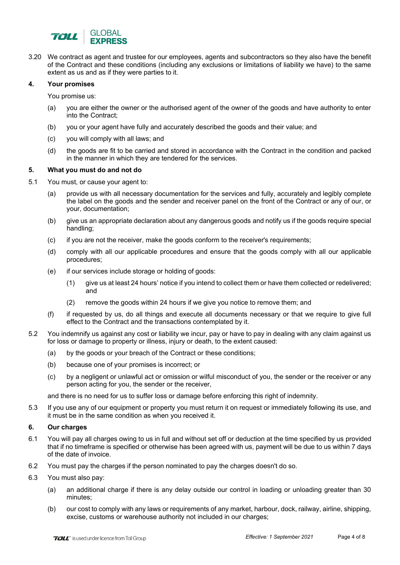

3.20 We contract as agent and trustee for our employees, agents and subcontractors so they also have the benefit of the Contract and these conditions (including any exclusions or limitations of liability we have) to the same extent as us and as if they were parties to it.

### **4. Your promises**

You promise us:

- (a) you are either the owner or the authorised agent of the owner of the goods and have authority to enter into the Contract;
- (b) you or your agent have fully and accurately described the goods and their value; and
- (c) you will comply with all laws; and
- (d) the goods are fit to be carried and stored in accordance with the Contract in the condition and packed in the manner in which they are tendered for the services.

#### **5. What you must do and not do**

- 5.1 You must, or cause your agent to:
	- (a) provide us with all necessary documentation for the services and fully, accurately and legibly complete the label on the goods and the sender and receiver panel on the front of the Contract or any of our, or your, documentation;
	- (b) give us an appropriate declaration about any dangerous goods and notify us if the goods require special handling;
	- (c) if you are not the receiver, make the goods conform to the receiver's requirements;
	- (d) comply with all our applicable procedures and ensure that the goods comply with all our applicable procedures;
	- (e) if our services include storage or holding of goods:
		- (1) give us at least 24 hours' notice if you intend to collect them or have them collected or redelivered; and
		- (2) remove the goods within 24 hours if we give you notice to remove them; and
	- (f) if requested by us, do all things and execute all documents necessary or that we require to give full effect to the Contract and the transactions contemplated by it.
- 5.2 You indemnify us against any cost or liability we incur, pay or have to pay in dealing with any claim against us for loss or damage to property or illness, injury or death, to the extent caused:
	- (a) by the goods or your breach of the Contract or these conditions;
	- (b) because one of your promises is incorrect; or
	- (c) by a negligent or unlawful act or omission or wilful misconduct of you, the sender or the receiver or any person acting for you, the sender or the receiver,

and there is no need for us to suffer loss or damage before enforcing this right of indemnity.

5.3 If you use any of our equipment or property you must return it on request or immediately following its use, and it must be in the same condition as when you received it.

## **6. Our charges**

- 6.1 You will pay all charges owing to us in full and without set off or deduction at the time specified by us provided that if no timeframe is specified or otherwise has been agreed with us, payment will be due to us within 7 days of the date of invoice.
- 6.2 You must pay the charges if the person nominated to pay the charges doesn't do so.
- 6.3 You must also pay:
	- (a) an additional charge if there is any delay outside our control in loading or unloading greater than 30 minutes;
	- (b) our cost to comply with any laws or requirements of any market, harbour, dock, railway, airline, shipping, excise, customs or warehouse authority not included in our charges;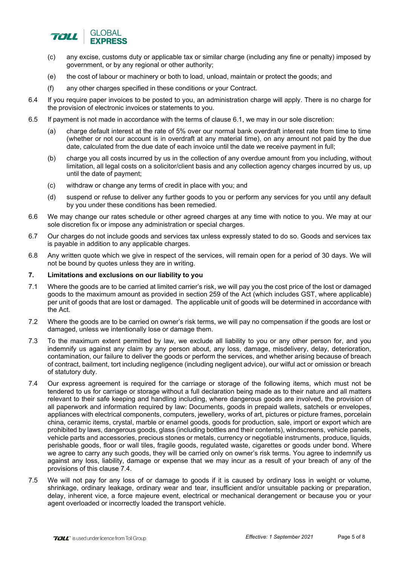

- (c) any excise, customs duty or applicable tax or similar charge (including any fine or penalty) imposed by government, or by any regional or other authority;
- (e) the cost of labour or machinery or both to load, unload, maintain or protect the goods; and
- (f) any other charges specified in these conditions or your Contract.
- 6.4 If you require paper invoices to be posted to you, an administration charge will apply. There is no charge for the provision of electronic invoices or statements to you.
- 6.5 If payment is not made in accordance with the terms of clause 6.1, we may in our sole discretion:
	- (a) charge default interest at the rate of 5% over our normal bank overdraft interest rate from time to time (whether or not our account is in overdraft at any material time), on any amount not paid by the due date, calculated from the due date of each invoice until the date we receive payment in full;
	- (b) charge you all costs incurred by us in the collection of any overdue amount from you including, without limitation, all legal costs on a solicitor/client basis and any collection agency charges incurred by us, up until the date of payment;
	- (c) withdraw or change any terms of credit in place with you; and
	- (d) suspend or refuse to deliver any further goods to you or perform any services for you until any default by you under these conditions has been remedied.
- 6.6 We may change our rates schedule or other agreed charges at any time with notice to you. We may at our sole discretion fix or impose any administration or special charges.
- 6.7 Our charges do not include goods and services tax unless expressly stated to do so. Goods and services tax is payable in addition to any applicable charges.
- 6.8 Any written quote which we give in respect of the services, will remain open for a period of 30 days. We will not be bound by quotes unless they are in writing.

### **7. Limitations and exclusions on our liability to you**

- 7.1 Where the goods are to be carried at limited carrier's risk, we will pay you the cost price of the lost or damaged goods to the maximum amount as provided in section 259 of the Act (which includes GST, where applicable) per unit of goods that are lost or damaged. The applicable unit of goods will be determined in accordance with the Act.
- 7.2 Where the goods are to be carried on owner's risk terms, we will pay no compensation if the goods are lost or damaged, unless we intentionally lose or damage them.
- 7.3 To the maximum extent permitted by law, we exclude all liability to you or any other person for, and you indemnify us against any claim by any person about, any loss, damage, misdelivery, delay, deterioration, contamination, our failure to deliver the goods or perform the services, and whether arising because of breach of contract, bailment, tort including negligence (including negligent advice), our wilful act or omission or breach of statutory duty.
- 7.4 Our express agreement is required for the carriage or storage of the following items, which must not be tendered to us for carriage or storage without a full declaration being made as to their nature and all matters relevant to their safe keeping and handling including, where dangerous goods are involved, the provision of all paperwork and information required by law: Documents, goods in prepaid wallets, satchels or envelopes, appliances with electrical components, computers, jewellery, works of art, pictures or picture frames, porcelain china, ceramic items, crystal, marble or enamel goods, goods for production, sale, import or export which are prohibited by laws, dangerous goods, glass (including bottles and their contents), windscreens, vehicle panels, vehicle parts and accessories, precious stones or metals, currency or negotiable instruments, produce, liquids, perishable goods, floor or wall tiles, fragile goods, regulated waste, cigarettes or goods under bond. Where we agree to carry any such goods, they will be carried only on owner's risk terms. You agree to indemnify us against any loss, liability, damage or expense that we may incur as a result of your breach of any of the provisions of this clause 7.4.
- 7.5 We will not pay for any loss of or damage to goods if it is caused by ordinary loss in weight or volume, shrinkage, ordinary leakage, ordinary wear and tear, insufficient and/or unsuitable packing or preparation, delay, inherent vice, a force majeure event, electrical or mechanical derangement or because you or your agent overloaded or incorrectly loaded the transport vehicle.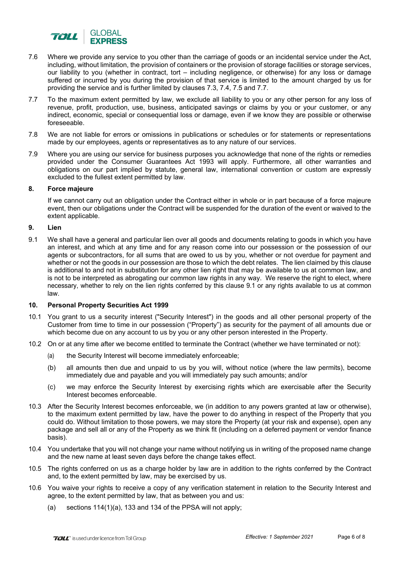

- 7.6 Where we provide any service to you other than the carriage of goods or an incidental service under the Act, including, without limitation, the provision of containers or the provision of storage facilities or storage services, our liability to you (whether in contract, tort – including negligence, or otherwise) for any loss or damage suffered or incurred by you during the provision of that service is limited to the amount charged by us for providing the service and is further limited by clauses 7.3, 7.4, 7.5 and 7.7.
- 7.7 To the maximum extent permitted by law, we exclude all liability to you or any other person for any loss of revenue, profit, production, use, business, anticipated savings or claims by you or your customer, or any indirect, economic, special or consequential loss or damage, even if we know they are possible or otherwise foreseeable.
- 7.8 We are not liable for errors or omissions in publications or schedules or for statements or representations made by our employees, agents or representatives as to any nature of our services.
- 7.9 Where you are using our service for business purposes you acknowledge that none of the rights or remedies provided under the Consumer Guarantees Act 1993 will apply. Furthermore, all other warranties and obligations on our part implied by statute, general law, international convention or custom are expressly excluded to the fullest extent permitted by law.

## **8. Force majeure**

If we cannot carry out an obligation under the Contract either in whole or in part because of a force majeure event, then our obligations under the Contract will be suspended for the duration of the event or waived to the extent applicable.

### **9. Lien**

9.1 We shall have a general and particular lien over all goods and documents relating to goods in which you have an interest, and which at any time and for any reason come into our possession or the possession of our agents or subcontractors, for all sums that are owed to us by you, whether or not overdue for payment and whether or not the goods in our possession are those to which the debt relates. The lien claimed by this clause is additional to and not in substitution for any other lien right that may be available to us at common law, and is not to be interpreted as abrogating our common law rights in any way. We reserve the right to elect, where necessary, whether to rely on the lien rights conferred by this clause 9.1 or any rights available to us at common law.

## **10. Personal Property Securities Act 1999**

- 10.1 You grant to us a security interest ("Security Interest") in the goods and all other personal property of the Customer from time to time in our possession ("Property") as security for the payment of all amounts due or which become due on any account to us by you or any other person interested in the Property.
- 10.2 On or at any time after we become entitled to terminate the Contract (whether we have terminated or not):
	- (a) the Security Interest will become immediately enforceable;
	- (b) all amounts then due and unpaid to us by you will, without notice (where the law permits), become immediately due and payable and you will immediately pay such amounts; and/or
	- (c) we may enforce the Security Interest by exercising rights which are exercisable after the Security Interest becomes enforceable.
- 10.3 After the Security Interest becomes enforceable, we (in addition to any powers granted at law or otherwise), to the maximum extent permitted by law, have the power to do anything in respect of the Property that you could do. Without limitation to those powers, we may store the Property (at your risk and expense), open any package and sell all or any of the Property as we think fit (including on a deferred payment or vendor finance basis).
- 10.4 You undertake that you will not change your name without notifying us in writing of the proposed name change and the new name at least seven days before the change takes effect.
- 10.5 The rights conferred on us as a charge holder by law are in addition to the rights conferred by the Contract and, to the extent permitted by law, may be exercised by us.
- 10.6 You waive your rights to receive a copy of any verification statement in relation to the Security Interest and agree, to the extent permitted by law, that as between you and us:
	- (a) sections 114(1)(a), 133 and 134 of the PPSA will not apply;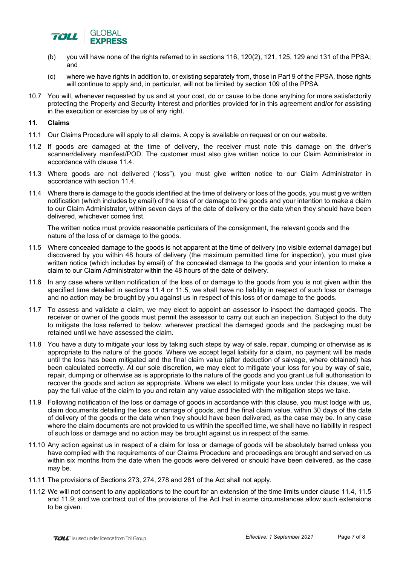

- (b) you will have none of the rights referred to in sections 116, 120(2), 121, 125, 129 and 131 of the PPSA; and
- (c) where we have rights in addition to, or existing separately from, those in Part 9 of the PPSA, those rights will continue to apply and, in particular, will not be limited by section 109 of the PPSA.
- 10.7 You will, whenever requested by us and at your cost, do or cause to be done anything for more satisfactorily protecting the Property and Security Interest and priorities provided for in this agreement and/or for assisting in the execution or exercise by us of any right.

# **11. Claims**

- 11.1 Our Claims Procedure will apply to all claims. A copy is available on request or on our website.
- 11.2 If goods are damaged at the time of delivery, the receiver must note this damage on the driver's scanner/delivery manifest/POD. The customer must also give written notice to our Claim Administrator in accordance with clause 11.4.
- 11.3 Where goods are not delivered ("loss"), you must give written notice to our Claim Administrator in accordance with section 11.4.
- 11.4 Where there is damage to the goods identified at the time of delivery or loss of the goods, you must give written notification (which includes by email) of the loss of or damage to the goods and your intention to make a claim to our Claim Administrator, within seven days of the date of delivery or the date when they should have been delivered, whichever comes first.

The written notice must provide reasonable particulars of the consignment, the relevant goods and the nature of the loss of or damage to the goods.

- 11.5 Where concealed damage to the goods is not apparent at the time of delivery (no visible external damage) but discovered by you within 48 hours of delivery (the maximum permitted time for inspection), you must give written notice (which includes by email) of the concealed damage to the goods and your intention to make a claim to our Claim Administrator within the 48 hours of the date of delivery.
- 11.6 In any case where written notification of the loss of or damage to the goods from you is not given within the specified time detailed in sections 11.4 or 11.5, we shall have no liability in respect of such loss or damage and no action may be brought by you against us in respect of this loss of or damage to the goods.
- 11.7 To assess and validate a claim, we may elect to appoint an assessor to inspect the damaged goods. The receiver or owner of the goods must permit the assessor to carry out such an inspection. Subject to the duty to mitigate the loss referred to below, wherever practical the damaged goods and the packaging must be retained until we have assessed the claim.
- 11.8 You have a duty to mitigate your loss by taking such steps by way of sale, repair, dumping or otherwise as is appropriate to the nature of the goods. Where we accept legal liability for a claim, no payment will be made until the loss has been mitigated and the final claim value (after deduction of salvage, where obtained) has been calculated correctly. At our sole discretion, we may elect to mitigate your loss for you by way of sale, repair, dumping or otherwise as is appropriate to the nature of the goods and you grant us full authorisation to recover the goods and action as appropriate. Where we elect to mitigate your loss under this clause, we will pay the full value of the claim to you and retain any value associated with the mitigation steps we take.
- 11.9 Following notification of the loss or damage of goods in accordance with this clause, you must lodge with us, claim documents detailing the loss or damage of goods, and the final claim value, within 30 days of the date of delivery of the goods or the date when they should have been delivered, as the case may be. In any case where the claim documents are not provided to us within the specified time, we shall have no liability in respect of such loss or damage and no action may be brought against us in respect of the same.
- 11.10 Any action against us in respect of a claim for loss or damage of goods will be absolutely barred unless you have complied with the requirements of our Claims Procedure and proceedings are brought and served on us within six months from the date when the goods were delivered or should have been delivered, as the case may be.
- 11.11 The provisions of Sections 273, 274, 278 and 281 of the Act shall not apply.
- 11.12 We will not consent to any applications to the court for an extension of the time limits under clause 11.4, 11.5 and 11.9; and we contract out of the provisions of the Act that in some circumstances allow such extensions to be given.